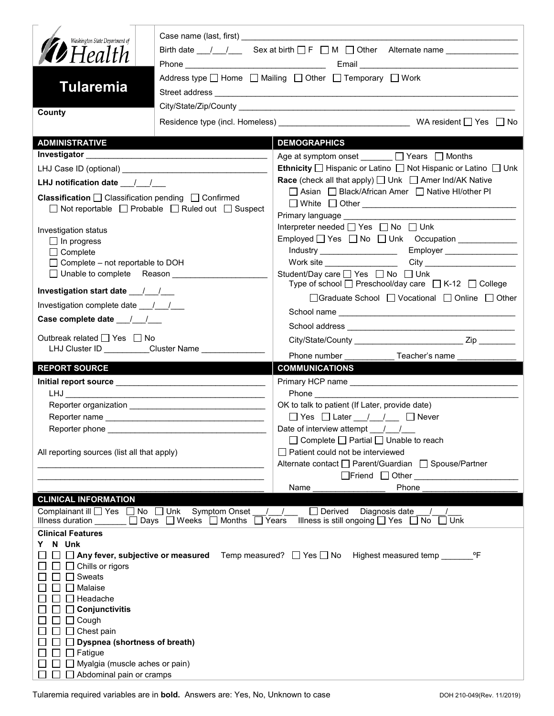| Washington State Department of<br><b>D</b> Health<br>Address type $\Box$ Home $\Box$ Mailing $\Box$ Other $\Box$ Temporary $\Box$ Work<br><b>Tularemia</b> |                                                                              |                                                                                                                 |
|------------------------------------------------------------------------------------------------------------------------------------------------------------|------------------------------------------------------------------------------|-----------------------------------------------------------------------------------------------------------------|
| County                                                                                                                                                     |                                                                              |                                                                                                                 |
| <b>ADMINISTRATIVE</b>                                                                                                                                      |                                                                              | <b>DEMOGRAPHICS</b>                                                                                             |
|                                                                                                                                                            |                                                                              | Age at symptom onset $\Box$ Years $\Box$ Months                                                                 |
|                                                                                                                                                            |                                                                              | Ethnicity □ Hispanic or Latino □ Not Hispanic or Latino □ Unk                                                   |
| LHJ notification date $\frac{1}{\sqrt{2}}$                                                                                                                 |                                                                              | <b>Race</b> (check all that apply) $\Box$ Unk $\Box$ Amer Ind/AK Native                                         |
| Classification □ Classification pending □ Confirmed                                                                                                        | □ Not reportable □ Probable □ Ruled out □ Suspect                            | □ Asian □ Black/African Amer □ Native HI/other PI<br>□ White □ Other <u>___________________________________</u> |
| Investigation status                                                                                                                                       |                                                                              | Interpreter needed □ Yes □ No □ Unk                                                                             |
| $\Box$ In progress                                                                                                                                         |                                                                              |                                                                                                                 |
| $\Box$ Complete                                                                                                                                            |                                                                              |                                                                                                                 |
| $\Box$ Complete – not reportable to DOH                                                                                                                    |                                                                              | Work site __________________                                                                                    |
|                                                                                                                                                            |                                                                              | Student/Day care □ Yes □ No □ Unk<br>Type of school $\Box$ Preschool/day care $\Box$ K-12 $\Box$ College        |
| Investigation start date 11                                                                                                                                |                                                                              | □Graduate School □ Vocational □ Online □ Other                                                                  |
| Investigation complete date ___/___/___                                                                                                                    |                                                                              |                                                                                                                 |
| Case complete date __/_/__/                                                                                                                                |                                                                              |                                                                                                                 |
| Outbreak related □ Yes □ No                                                                                                                                |                                                                              |                                                                                                                 |
|                                                                                                                                                            | LHJ Cluster ID _________Cluster Name _____________                           | Phone number<br>Teacher's name                                                                                  |
| <b>REPORT SOURCE</b>                                                                                                                                       |                                                                              | <b>COMMUNICATIONS</b>                                                                                           |
|                                                                                                                                                            |                                                                              |                                                                                                                 |
|                                                                                                                                                            |                                                                              |                                                                                                                 |
|                                                                                                                                                            |                                                                              | OK to talk to patient (If Later, provide date)                                                                  |
|                                                                                                                                                            |                                                                              |                                                                                                                 |
|                                                                                                                                                            |                                                                              | $\Box$ Yes $\Box$ Later $\frac{1}{\Box}$ $\Box$ Never                                                           |
| Reporter phone _________                                                                                                                                   |                                                                              | Date of interview attempt $\frac{1}{\sqrt{2}}$                                                                  |
|                                                                                                                                                            |                                                                              | $\Box$ Complete $\Box$ Partial $\Box$ Unable to reach                                                           |
| All reporting sources (list all that apply)                                                                                                                |                                                                              | $\Box$ Patient could not be interviewed                                                                         |
|                                                                                                                                                            |                                                                              | Alternate contact<br>□ Parent/Guardian<br>□ Spouse/Partner                                                      |
|                                                                                                                                                            |                                                                              | Phone<br>Name                                                                                                   |
| <b>CLINICAL INFORMATION</b>                                                                                                                                |                                                                              |                                                                                                                 |
| Complainant ill   Yes   No   Unk Symptom Onset<br>Illness duration <u>Delays</u> Days DWeeks DMonths                                                       |                                                                              | Diagnosis date<br>$\Box$ Derived<br>Illness is still ongoing $\Box$ Yes $\Box$ No<br>Years<br>Unk               |
| <b>Clinical Features</b>                                                                                                                                   |                                                                              |                                                                                                                 |
| N Unk                                                                                                                                                      |                                                                              |                                                                                                                 |
| Chills or rigors<br>Sweats<br>Malaise<br>Headache<br>Conjunctivitis                                                                                        | $\Box$ Any fever, subjective or measured Temp measured? $\Box$ Yes $\Box$ No | Highest measured temp<br>°F                                                                                     |
| Cough                                                                                                                                                      |                                                                              |                                                                                                                 |
| Chest pain<br><b>Dyspnea (shortness of breath)</b>                                                                                                         |                                                                              |                                                                                                                 |
| Fatigue<br>Myalgia (muscle aches or pain)                                                                                                                  |                                                                              |                                                                                                                 |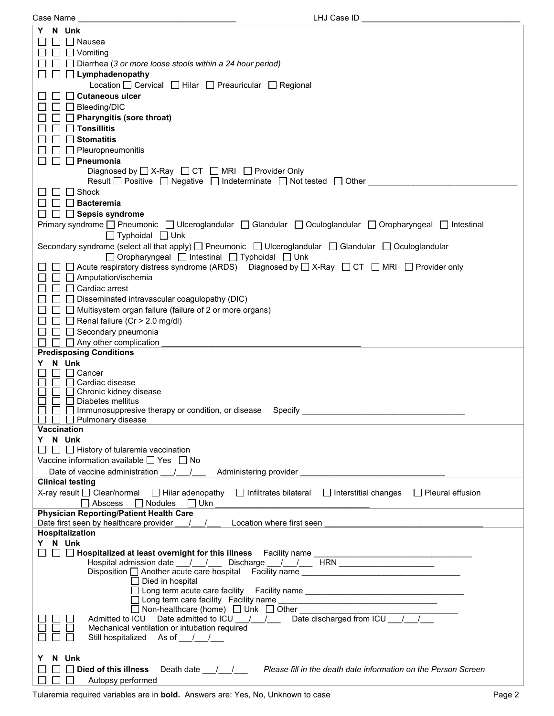Case Name \_\_\_\_\_\_\_\_\_\_\_\_\_\_\_\_\_\_\_\_\_\_\_\_\_\_\_\_\_\_\_\_\_\_\_ LHJ Case ID \_\_\_\_\_\_\_\_\_\_\_\_\_\_\_\_\_\_\_\_\_\_\_\_\_\_\_\_\_\_\_\_\_\_\_

| Case | L |  |
|------|---|--|
|      |   |  |

| N Unk                                                                                                                                                                                                                                                                |
|----------------------------------------------------------------------------------------------------------------------------------------------------------------------------------------------------------------------------------------------------------------------|
| $\Box$ Nausea                                                                                                                                                                                                                                                        |
| $\Box$ Vomiting                                                                                                                                                                                                                                                      |
| $\Box$ Diarrhea (3 or more loose stools within a 24 hour period)                                                                                                                                                                                                     |
| $\Box$ Lymphadenopathy                                                                                                                                                                                                                                               |
| Location [ Cervical   Hilar   Preauricular   Regional                                                                                                                                                                                                                |
| □ Cutaneous ulcer                                                                                                                                                                                                                                                    |
| $\Box$ Bleeding/DIC                                                                                                                                                                                                                                                  |
| $\Box$ Pharyngitis (sore throat)                                                                                                                                                                                                                                     |
| $\Box$ Tonsillitis                                                                                                                                                                                                                                                   |
| <b>Stomatitis</b>                                                                                                                                                                                                                                                    |
| $\Box$ Pleuropneumonitis                                                                                                                                                                                                                                             |
| $\Box$ Pneumonia<br>Diagnosed by $\Box$ X-Ray $\Box$ CT $\Box$ MRI $\Box$ Provider Only                                                                                                                                                                              |
| Result   Positive   Negative   Indeterminate   Not tested   Other                                                                                                                                                                                                    |
| Shock                                                                                                                                                                                                                                                                |
| <b>∣ Bacteremia</b>                                                                                                                                                                                                                                                  |
| $\Box$ Sepsis syndrome                                                                                                                                                                                                                                               |
| Primary syndrome □ Pneumonic □ Ulceroglandular □ Glandular □ Oculoglandular □ Oropharyngeal □ Intestinal                                                                                                                                                             |
| $\Box$ Typhoidal $\Box$ Unk                                                                                                                                                                                                                                          |
| Secondary syndrome (select all that apply) □ Pneumonic □ Ulceroglandular □ Glandular □ Oculoglandular                                                                                                                                                                |
| □ Oropharyngeal □ Intestinal □ Typhoidal □ Unk                                                                                                                                                                                                                       |
| □ □ Acute respiratory distress syndrome (ARDS) Diagnosed by □ X-Ray □ CT □ MRI □ Provider only                                                                                                                                                                       |
| $\Box$ Amputation/ischemia                                                                                                                                                                                                                                           |
| □ Cardiac arrest                                                                                                                                                                                                                                                     |
| $\Box$ Disseminated intravascular coagulopathy (DIC)                                                                                                                                                                                                                 |
| $\Box$ Multisystem organ failure (failure of 2 or more organs)                                                                                                                                                                                                       |
| $\Box$ Renal failure (Cr > 2.0 mg/dl)                                                                                                                                                                                                                                |
| $\Box$ Secondary pneumonia                                                                                                                                                                                                                                           |
| $\Box$ Any other complication<br><b>Predisposing Conditions</b>                                                                                                                                                                                                      |
| N Unk<br>Y.                                                                                                                                                                                                                                                          |
| Cancer                                                                                                                                                                                                                                                               |
| Cardiac disease                                                                                                                                                                                                                                                      |
| $\Box$ Chronic kidney disease                                                                                                                                                                                                                                        |
| Diabetes mellitus<br>$\Box$ Immunosuppresive therapy or condition, or disease Specify                                                                                                                                                                                |
| $\Box$ Pulmonary disease                                                                                                                                                                                                                                             |
| Vaccination                                                                                                                                                                                                                                                          |
| Y N Unk                                                                                                                                                                                                                                                              |
| $\Box$ History of tularemia vaccination                                                                                                                                                                                                                              |
| Vaccine information available $\Box$ Yes $\Box$ No                                                                                                                                                                                                                   |
| Date of vaccine administration / /<br>Administering provider and a state of the state of the state of the state of the state of the state of the state of the state of the state of the state of the state of the state of the state of the state of the state of th |
| <b>Clinical testing</b>                                                                                                                                                                                                                                              |
| X-ray result $\Box$ Clear/normal $\Box$ Hilar adenopathy $\Box$ Infiltrates bilateral $\Box$ Interstitial changes<br>Pleural effusion<br>$\Box$ Nodules $\Box$ Ukn<br>$\Box$ Abscess                                                                                 |
| <b>Physician Reporting/Patient Health Care</b>                                                                                                                                                                                                                       |
| / / Location where first seen<br>Date first seen by healthcare provider                                                                                                                                                                                              |
| Hospitalization                                                                                                                                                                                                                                                      |
| Y N Unk                                                                                                                                                                                                                                                              |
|                                                                                                                                                                                                                                                                      |
| Hospital admission date ___/___/ ____ Discharge ___/___/ ____ HRN ______________                                                                                                                                                                                     |
| $\Box$ Died in hospital                                                                                                                                                                                                                                              |
| □ Long term acute care facility  Facility name _________________________________                                                                                                                                                                                     |
| $\square$ Long term care facility Facility name $\_$                                                                                                                                                                                                                 |
| $\Box$ Non-healthcare (home) $\Box$ Unk $\Box$ Other $\Box$ Other $\Box$<br>Admitted to ICU Date admitted to ICU $\frac{1}{\sqrt{2}}$ Date discharged from ICU $\frac{1}{\sqrt{2}}$                                                                                  |
| Mechanical ventilation or intubation required                                                                                                                                                                                                                        |
| Still hospitalized As of //                                                                                                                                                                                                                                          |
|                                                                                                                                                                                                                                                                      |
| N Unk<br>Y                                                                                                                                                                                                                                                           |
| Died of this illness<br>Death date <u>Juleen Please fill</u> in the death date information on the Person Screen                                                                                                                                                      |
| Autopsy performed<br>$\mathbf{L}$                                                                                                                                                                                                                                    |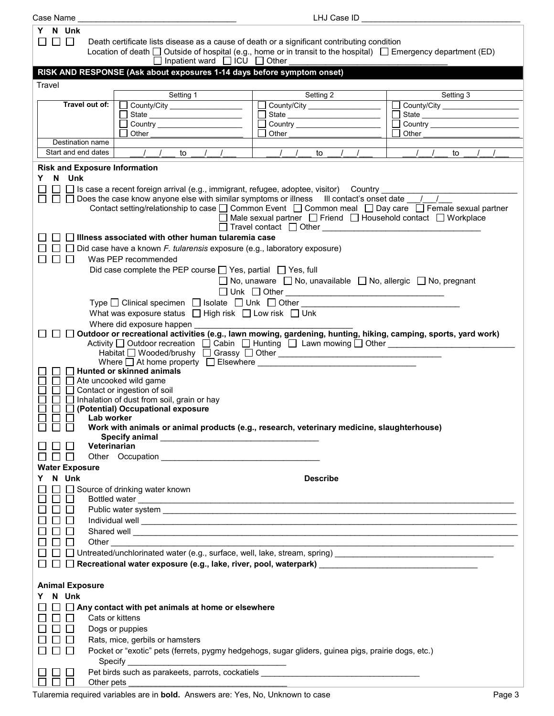| Case Name              |                     |                                                                                                                          | LHJ Case ID                                                                                                                                                                                                                   |                                                |
|------------------------|---------------------|--------------------------------------------------------------------------------------------------------------------------|-------------------------------------------------------------------------------------------------------------------------------------------------------------------------------------------------------------------------------|------------------------------------------------|
| N Unk<br>Y.            |                     |                                                                                                                          |                                                                                                                                                                                                                               |                                                |
| $\Box$<br>$\mathsf{L}$ |                     | Death certificate lists disease as a cause of death or a significant contributing condition                              |                                                                                                                                                                                                                               |                                                |
|                        |                     | Location of death $\Box$ Outside of hospital (e.g., home or in transit to the hospital) $\Box$ Emergency department (ED) |                                                                                                                                                                                                                               |                                                |
|                        |                     | $\Box$ Inpatient ward $\Box$ ICU $\Box$ Other                                                                            |                                                                                                                                                                                                                               |                                                |
|                        |                     | RISK AND RESPONSE (Ask about exposures 1-14 days before symptom onset)                                                   |                                                                                                                                                                                                                               |                                                |
|                        |                     |                                                                                                                          |                                                                                                                                                                                                                               |                                                |
| Travel                 |                     |                                                                                                                          |                                                                                                                                                                                                                               |                                                |
|                        |                     | Setting 1                                                                                                                | Setting 2                                                                                                                                                                                                                     | Setting 3                                      |
|                        | Travel out of:      | County/City ________________                                                                                             | County/City __________________                                                                                                                                                                                                | County/City __________________                 |
|                        |                     | State _________________________                                                                                          | State ___________________________                                                                                                                                                                                             | □ State <u>_____________________</u><br>$\Box$ |
|                        |                     | Other                                                                                                                    |                                                                                                                                                                                                                               | <b>Other Community</b>                         |
|                        | Destination name    |                                                                                                                          |                                                                                                                                                                                                                               |                                                |
|                        | Start and end dates | $\frac{1}{2}$<br>to $/$ $/$                                                                                              | $\frac{1}{2}$<br>to $/$ $/$                                                                                                                                                                                                   | $\sqrt{1}$<br>to                               |
|                        |                     |                                                                                                                          |                                                                                                                                                                                                                               |                                                |
|                        |                     | <b>Risk and Exposure Information</b>                                                                                     |                                                                                                                                                                                                                               |                                                |
| N Unk<br>Y.            |                     |                                                                                                                          |                                                                                                                                                                                                                               |                                                |
|                        |                     | $\Box$ Is case a recent foreign arrival (e.g., immigrant, refugee, adoptee, visitor) Country $\_$                        |                                                                                                                                                                                                                               |                                                |
|                        |                     | $\Box$ Does the case know anyone else with similar symptoms or illness III contact's onset date $\Box$                   |                                                                                                                                                                                                                               |                                                |
|                        |                     | Contact setting/relationship to case □ Common Event □ Common meal □ Day care □ Female sexual partner                     |                                                                                                                                                                                                                               |                                                |
|                        |                     |                                                                                                                          | □ Male sexual partner □ Friend □ Household contact □ Workplace                                                                                                                                                                |                                                |
|                        |                     |                                                                                                                          | □ Travel contact □ Other ■ Travel in the contract ■ Other ■ Travel in the contract and the contract of the contract of the contract of the contract of the contract of the contract of the contract of the contract of the co |                                                |
|                        |                     | $\Box$ Illness associated with other human tularemia case                                                                |                                                                                                                                                                                                                               |                                                |
|                        |                     | $\Box$ Did case have a known <i>F. tularensis</i> exposure (e.g., laboratory exposure)                                   |                                                                                                                                                                                                                               |                                                |
|                        |                     | Was PEP recommended                                                                                                      |                                                                                                                                                                                                                               |                                                |
|                        |                     | Did case complete the PEP course $\Box$ Yes, partial $\Box$ Yes, full                                                    |                                                                                                                                                                                                                               |                                                |
|                        |                     |                                                                                                                          | □ No, unaware □ No, unavailable □ No, allergic □ No, pregnant                                                                                                                                                                 |                                                |
|                        |                     |                                                                                                                          |                                                                                                                                                                                                                               |                                                |
|                        |                     | Type □ Clinical specimen □ Isolate □ Unk □ Other                                                                         |                                                                                                                                                                                                                               |                                                |
|                        |                     |                                                                                                                          |                                                                                                                                                                                                                               |                                                |
|                        |                     | What was exposure status $\Box$ High risk $\Box$ Low risk $\Box$ Unk                                                     |                                                                                                                                                                                                                               |                                                |
|                        |                     | Where did exposure happen                                                                                                |                                                                                                                                                                                                                               |                                                |
|                        |                     | Outdoor or recreational activities (e.g., lawn mowing, gardening, hunting, hiking, camping, sports, yard work)           |                                                                                                                                                                                                                               |                                                |
|                        |                     | Activity □ Outdoor recreation □ Cabin □ Hunting □ Lawn mowing □ Other                                                    |                                                                                                                                                                                                                               |                                                |
|                        |                     | Where $\Box$ At home property $\Box$ Elsewhere $\Box$                                                                    |                                                                                                                                                                                                                               |                                                |
|                        |                     | <b>Hunted or skinned animals</b>                                                                                         |                                                                                                                                                                                                                               |                                                |
|                        |                     | $\Box$ Ate uncooked wild game                                                                                            |                                                                                                                                                                                                                               |                                                |
|                        |                     | Contact or ingestion of soil                                                                                             |                                                                                                                                                                                                                               |                                                |
|                        |                     | □ Inhalation of dust from soil, grain or hay                                                                             |                                                                                                                                                                                                                               |                                                |
| $\Box$                 |                     | (Potential) Occupational exposure                                                                                        |                                                                                                                                                                                                                               |                                                |
| П<br>$\Box$            |                     | Lab worker in the state of the state of the state of the state of the state of the state of the state of the s           |                                                                                                                                                                                                                               |                                                |
| $\mathbf{I}$           |                     | Work with animals or animal products (e.g., research, veterinary medicine, slaughterhouse)                               |                                                                                                                                                                                                                               |                                                |
|                        |                     |                                                                                                                          |                                                                                                                                                                                                                               |                                                |
|                        | Veterinarian        |                                                                                                                          |                                                                                                                                                                                                                               |                                                |
|                        |                     |                                                                                                                          |                                                                                                                                                                                                                               |                                                |
| <b>Water Exposure</b>  |                     |                                                                                                                          |                                                                                                                                                                                                                               |                                                |
| N Unk<br>Y             |                     |                                                                                                                          | <b>Describe</b>                                                                                                                                                                                                               |                                                |
|                        |                     | □ Source of drinking water known                                                                                         |                                                                                                                                                                                                                               |                                                |
|                        |                     |                                                                                                                          |                                                                                                                                                                                                                               |                                                |
|                        |                     |                                                                                                                          |                                                                                                                                                                                                                               |                                                |
|                        |                     | Individual well experience and the contract of the contract of the contract of the contract of the contract of           |                                                                                                                                                                                                                               |                                                |
|                        |                     |                                                                                                                          |                                                                                                                                                                                                                               |                                                |
|                        |                     |                                                                                                                          |                                                                                                                                                                                                                               |                                                |
|                        |                     |                                                                                                                          |                                                                                                                                                                                                                               |                                                |
|                        |                     |                                                                                                                          |                                                                                                                                                                                                                               |                                                |
|                        |                     |                                                                                                                          |                                                                                                                                                                                                                               |                                                |
|                        |                     |                                                                                                                          |                                                                                                                                                                                                                               |                                                |
| <b>Animal Exposure</b> |                     |                                                                                                                          |                                                                                                                                                                                                                               |                                                |
| N Unk<br>Y             |                     |                                                                                                                          |                                                                                                                                                                                                                               |                                                |
|                        |                     | $\Box$ $\Box$ Any contact with pet animals at home or elsewhere                                                          |                                                                                                                                                                                                                               |                                                |
|                        |                     | Cats or kittens                                                                                                          |                                                                                                                                                                                                                               |                                                |
|                        |                     |                                                                                                                          |                                                                                                                                                                                                                               |                                                |
|                        |                     | Dogs or puppies                                                                                                          |                                                                                                                                                                                                                               |                                                |
|                        |                     | Rats, mice, gerbils or hamsters                                                                                          |                                                                                                                                                                                                                               |                                                |
|                        |                     | Pocket or "exotic" pets (ferrets, pygmy hedgehogs, sugar gliders, guinea pigs, prairie dogs, etc.)                       |                                                                                                                                                                                                                               |                                                |
|                        |                     |                                                                                                                          |                                                                                                                                                                                                                               |                                                |
|                        |                     |                                                                                                                          | Pet birds such as parakeets, parrots, cockatiels _______________________________                                                                                                                                              |                                                |
|                        |                     |                                                                                                                          |                                                                                                                                                                                                                               |                                                |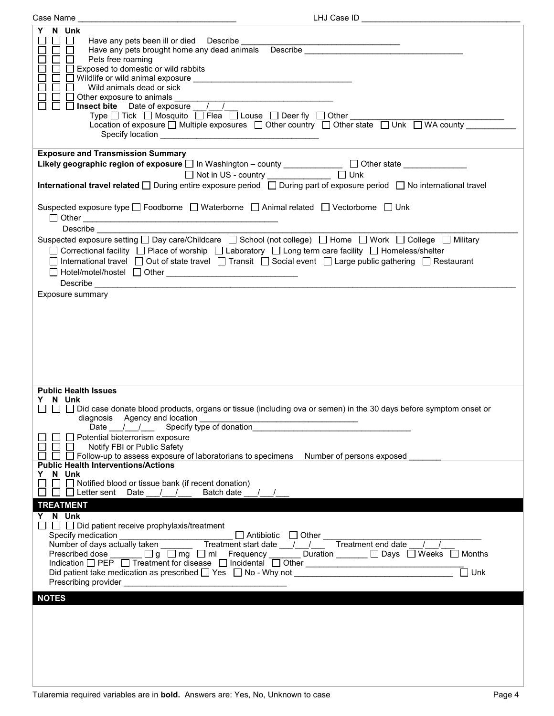| LHJ Case ID<br>Case Name                                                                                                                                                                                                                                                                                                                                                                                                                                                                                                                                                                                                                    |
|---------------------------------------------------------------------------------------------------------------------------------------------------------------------------------------------------------------------------------------------------------------------------------------------------------------------------------------------------------------------------------------------------------------------------------------------------------------------------------------------------------------------------------------------------------------------------------------------------------------------------------------------|
| N Unk<br>Y<br>$\Box$<br>Have any pets been ill or died Describe<br><u> 1989 - John Stein, Amerikaansk politiker (</u><br>Have any pets brought home any dead animals Describe ___________________________<br>Pets free roaming<br>$\Box$ Exposed to domestic or wild rabbits<br>Wild animals dead or sick<br>Other exposure to animals                                                                                                                                                                                                                                                                                                      |
|                                                                                                                                                                                                                                                                                                                                                                                                                                                                                                                                                                                                                                             |
| <b>Exposure and Transmission Summary</b>                                                                                                                                                                                                                                                                                                                                                                                                                                                                                                                                                                                                    |
| Likely geographic region of exposure $\square$ In Washington - county _____________ $\square$ Other state _____________                                                                                                                                                                                                                                                                                                                                                                                                                                                                                                                     |
| □ Not in US - country ______________ □ Unk                                                                                                                                                                                                                                                                                                                                                                                                                                                                                                                                                                                                  |
| <b>International travel related</b> $\Box$ During entire exposure period $\Box$ During part of exposure period $\Box$ No international travel                                                                                                                                                                                                                                                                                                                                                                                                                                                                                               |
|                                                                                                                                                                                                                                                                                                                                                                                                                                                                                                                                                                                                                                             |
| Suspected exposure type □ Foodborne □ Waterborne □ Animal related □ Vectorborne □ Unk<br><b>Describe Describe</b>                                                                                                                                                                                                                                                                                                                                                                                                                                                                                                                           |
|                                                                                                                                                                                                                                                                                                                                                                                                                                                                                                                                                                                                                                             |
| Suspected exposure setting □ Day care/Childcare □ School (not college) □ Home □ Work □ College □ Military<br>□ Correctional facility □ Place of worship □ Laboratory □ Long term care facility □ Homeless/shelter<br>□ International travel □ Out of state travel □ Transit □ Social event □ Large public gathering □ Restaurant                                                                                                                                                                                                                                                                                                            |
|                                                                                                                                                                                                                                                                                                                                                                                                                                                                                                                                                                                                                                             |
| Exposure summary                                                                                                                                                                                                                                                                                                                                                                                                                                                                                                                                                                                                                            |
| <b>Public Health Issues</b><br>N Unk<br>□ □ Did case donate blood products, organs or tissue (including ova or semen) in the 30 days before symptom onset or<br>diagnosis Agency and location<br>Date ____/_________Specify type of donation_<br>□ Potential bioterrorism exposure<br>Notify FBI or Public Safety<br>88 B. S<br>$\Box$ Follow-up to assess exposure of laboratorians to specimens<br>Number of persons exposed<br><b>Public Health Interventions/Actions</b><br>N Unk<br>Y.<br>$\Box$ Notified blood or tissue bank (if recent donation)                                                                                    |
| $\Box$ Letter sent Date / /<br>Batch date /                                                                                                                                                                                                                                                                                                                                                                                                                                                                                                                                                                                                 |
| <b>TREATMENT</b>                                                                                                                                                                                                                                                                                                                                                                                                                                                                                                                                                                                                                            |
| Y N Unk<br>$\Box$ $\Box$ Did patient receive prophylaxis/treatment<br>□ Antibiotic □ Other<br>nt start date / / Treatment end date / /<br>Prescribed dose ______ □ g □ mg □ ml Frequency ______ Duration ______ □ Days □ Weeks □ Months<br>Indication □ PEP □ Treatment for disease □ Incidental □ Other<br>$\Box$ Unk<br>Did patient take medication as prescribed $\Box$ Yes $\Box$ No - Why not $\Box$<br>Prescribing provider and the state of the state of the state of the state of the state of the state of the state of the state of the state of the state of the state of the state of the state of the state of the state of th |
| <b>NOTES</b>                                                                                                                                                                                                                                                                                                                                                                                                                                                                                                                                                                                                                                |
|                                                                                                                                                                                                                                                                                                                                                                                                                                                                                                                                                                                                                                             |